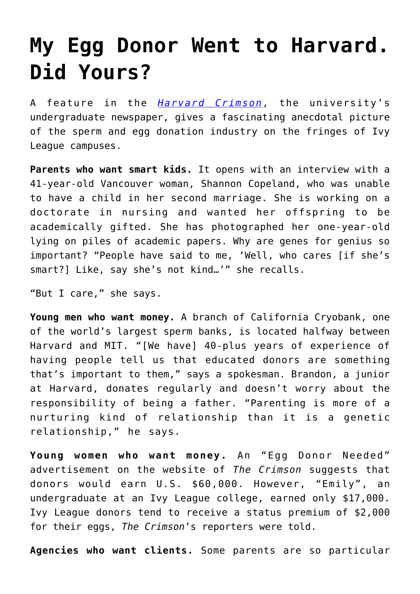## **[My Egg Donor Went to Harvard.](https://intellectualtakeout.org/2020/05/my-egg-donor-went-to-harvard-did-yours/) [Did Yours?](https://intellectualtakeout.org/2020/05/my-egg-donor-went-to-harvard-did-yours/)**

A feature in the *[Harvard Crimson](https://www.thecrimson.com/article/2020/4/30/inheriting-the-ivy-league/)*, the university's undergraduate newspaper, gives a fascinating anecdotal picture of the sperm and egg donation industry on the fringes of Ivy League campuses.

**Parents who want smart kids.** It opens with an interview with a 41-year-old Vancouver woman, Shannon Copeland, who was unable to have a child in her second marriage. She is working on a doctorate in nursing and wanted her offspring to be academically gifted. She has photographed her one-year-old lying on piles of academic papers. Why are genes for genius so important? "People have said to me, 'Well, who cares [if she's smart?] Like, say she's not kind…'" she recalls.

"But I care," she says.

**Young men who want money.** A branch of California Cryobank, one of the world's largest sperm banks, is located halfway between Harvard and MIT. "[We have] 40-plus years of experience of having people tell us that educated donors are something that's important to them," says a spokesman. Brandon, a junior at Harvard, donates regularly and doesn't worry about the responsibility of being a father. "Parenting is more of a nurturing kind of relationship than it is a genetic relationship," he says.

**Young women who want money.** An "Egg Donor Needed" advertisement on the website of *The Crimson* suggests that donors would earn U.S. \$60,000. However, "Emily", an undergraduate at an Ivy League college, earned only \$17,000. Ivy League donors tend to receive a status premium of \$2,000 for their eggs, *The Crimson*'s reporters were told.

**Agencies who want clients.** Some parents are so particular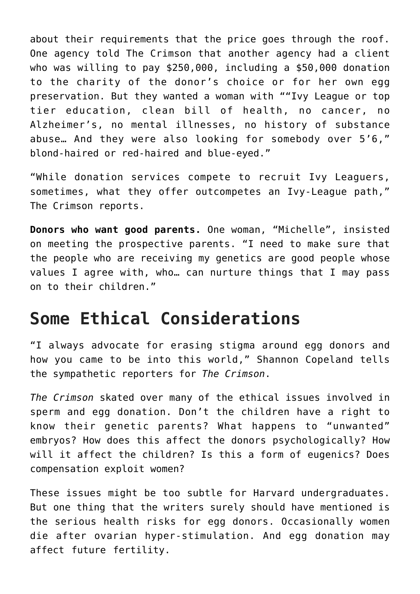about their requirements that the price goes through the roof. One agency told The Crimson that another agency had a client who was willing to pay \$250,000, including a \$50,000 donation to the charity of the donor's choice or for her own egg preservation. But they wanted a woman with ""Ivy League or top tier education, clean bill of health, no cancer, no Alzheimer's, no mental illnesses, no history of substance abuse… And they were also looking for somebody over 5'6," blond-haired or red-haired and blue-eyed."

"While donation services compete to recruit Ivy Leaguers, sometimes, what they offer outcompetes an Ivy-League path," The Crimson reports.

**Donors who want good parents.** One woman, "Michelle", insisted on meeting the prospective parents. "I need to make sure that the people who are receiving my genetics are good people whose values I agree with, who… can nurture things that I may pass on to their children."

## **Some Ethical Considerations**

"I always advocate for erasing stigma around egg donors and how you came to be into this world," Shannon Copeland tells the sympathetic reporters for *The Crimson*.

*The Crimson* skated over many of the ethical issues involved in sperm and egg donation. Don't the children have a right to know their genetic parents? What happens to "unwanted" embryos? How does this affect the donors psychologically? How will it affect the children? Is this a form of eugenics? Does compensation exploit women?

These issues might be too subtle for Harvard undergraduates. But one thing that the writers surely should have mentioned is the serious health risks for egg donors. Occasionally women die after ovarian hyper-stimulation. And egg donation may affect future fertility.